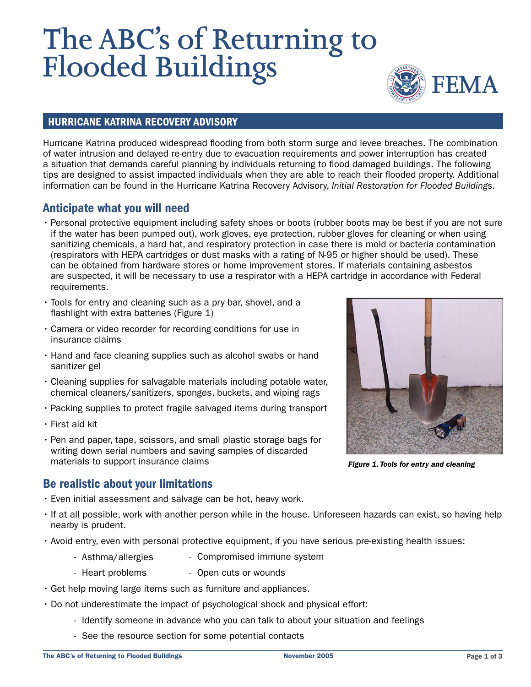# **The ABC's of Returning to Flooded Buildings**



#### HURRICANE KATRINA RECOVERY ADVISORY

Hurricane Katrina produced widespread flooding from both storm surge and levee breaches. The combination of water intrusion and delayed re-entry due to evacuation requirements and power interruption has created a situation that demands careful planning by individuals returning to flood damaged buildings. The following tips are designed to assist impacted individuals when they are able to reach their flooded property. Additional information can be found in the Hurricane Katrina Recovery Advisory, Initial Restoration for Flooded Buildings.

## Anticipate what you will need

- Personal protective equipment including safety shoes or boots (rubber boots may be best if you are not sure if the water has been pumped out), work gloves, eye protection, rubber gloves for cleaning or when using sanitizing chemicals, a hard hat, and respiratory protection in case there is mold or bacteria contamination (respirators with HEPA cartridges or dust masks with a rating of N-95 or higher should be used). These can be obtained from hardware stores or home improvement stores. If materials containing asbestos are suspected, it will be necessary to use a respirator with a HEPA cartridge in accordance with Federal requirements.
- Tools for entry and cleaning such as a pry bar, shovel, and a flashlight with extra batteries (Figure 1)
- Camera or video recorder for recording conditions for use in insurance claims
- Hand and face cleaning supplies such as alcohol swabs or hand sanitizer gel
- Cleaning supplies for salvagable materials including potable water, chemical cleaners/sanitizers, sponges, buckets, and wiping rags
- Packing supplies to protect fragile salvaged items during transport
- First aid kit
- Pen and paper, tape, scissors, and small plastic storage bags for writing down serial numbers and saving samples of discarded materials to support insurance claims



Figure 1. Tools for entry and cleaning

## Be realistic about your limitations

- Even initial assessment and salvage can be hot, heavy work.
- If at all possible, work with another person while in the house. Unforeseen hazards can exist, so having help nearby is prudent.
- Avoid entry, even with personal protective equipment, if you have serious pre-existing health issues:
	- Asthma/allergies - Compromised immune system
	- Heart problems - Open cuts or wounds
- Get help moving large items such as furniture and appliances.
- Do not underestimate the impact of psychological shock and physical effort:
	- Identify someone in advance who you can talk to about your situation and feelings
	- See the resource section for some potential contacts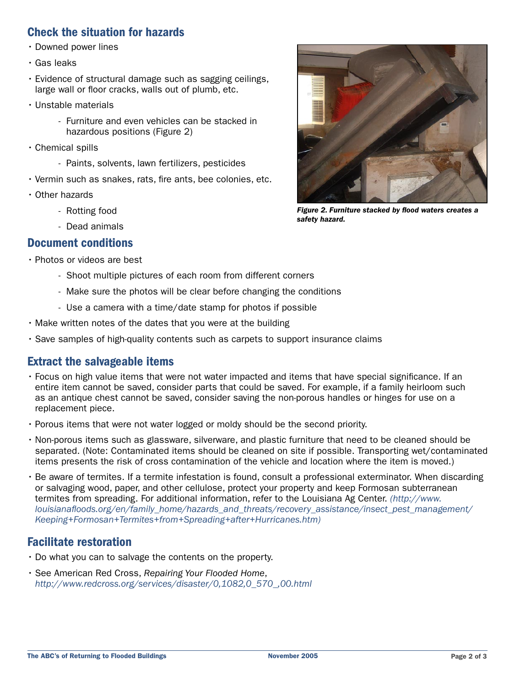## Check the situation for hazards

- Downed power lines
- Gas leaks
- Evidence of structural damage such as sagging ceilings, large wall or floor cracks, walls out of plumb, etc.
- Unstable materials
	- Furniture and even vehicles can be stacked in hazardous positions (Figure 2)
- Chemical spills
	- Paints, solvents, lawn fertilizers, pesticides
- Vermin such as snakes, rats, fire ants, bee colonies, etc.
- Other hazards
	- Rotting food
	- Dead animals

#### Document conditions

- Photos or videos are best
	- Shoot multiple pictures of each room from different corners
	- Make sure the photos will be clear before changing the conditions
	- Use a camera with a time/date stamp for photos if possible
- Make written notes of the dates that you were at the building
- Save samples of high-quality contents such as carpets to support insurance claims

## Extract the salvageable items

- Focus on high value items that were not water impacted and items that have special significance. If an entire item cannot be saved, consider parts that could be saved. For example, if a family heirloom such as an antique chest cannot be saved, consider saving the non-porous handles or hinges for use on a replacement piece.
- Porous items that were not water logged or moldy should be the second priority.
- Non-porous items such as glassware, silverware, and plastic furniture that need to be cleaned should be separated. (Note: Contaminated items should be cleaned on site if possible. Transporting wet/contaminated items presents the risk of cross contamination of the vehicle and location where the item is moved.)
- Be aware of termites. If a termite infestation is found, consult a professional exterminator. When discarding or salvaging wood, paper, and other cellulose, protect your property and keep Formosan subterranean termites from spreading. For additional information, refer to the Louisiana Ag Center. (http://www. louisianafloods.org/en/family\_home/hazards\_and\_threats/recovery\_assistance/insect\_pest\_management/ Keeping+Formosan+Termites+from+Spreading+after+Hurricanes.htm)

## Facilitate restoration

- Do what you can to salvage the contents on the property.
- See American Red Cross, Repairing Your Flooded Home, http://www.redcross.org/services/disaster/0,1082,0\_570\_,00.html



Figure 2. Furniture stacked by flood waters creates a safety hazard.